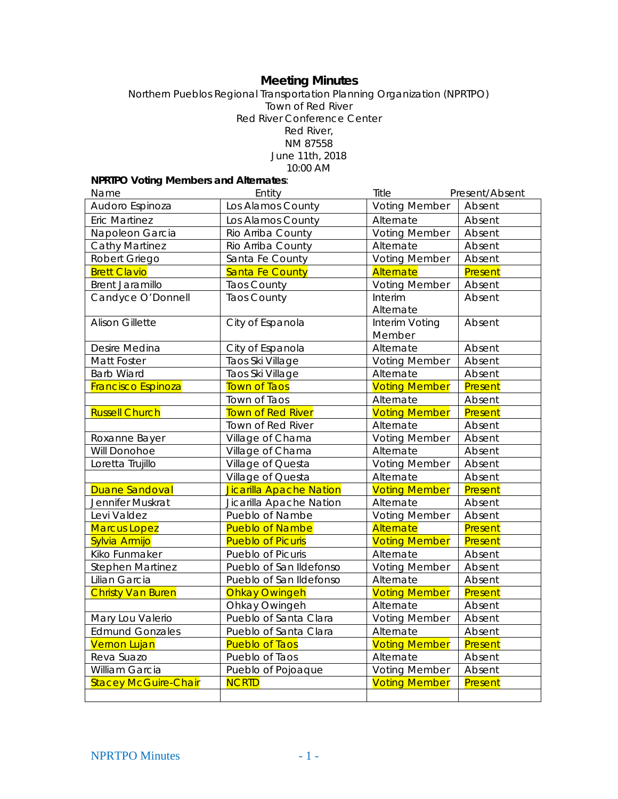# **Meeting Minutes**

Northern Pueblos Regional Transportation Planning Organization (NPRTPO) Town of Red River Red River Conference Center Red River, NM 87558 June 11th, 2018 10:00 AM

# **NPRTPO Voting Members and Alternates**:

| Name                        | Entity                   | Title                | Present/Absent |
|-----------------------------|--------------------------|----------------------|----------------|
| Audoro Espinoza             | Los Alamos County        | <b>Voting Member</b> | Absent         |
| <b>Eric Martinez</b>        | Los Alamos County        | Alternate            | Absent         |
| Napoleon Garcia             | Rio Arriba County        | <b>Voting Member</b> | Absent         |
| <b>Cathy Martinez</b>       | Rio Arriba County        | Alternate            | Absent         |
| Robert Griego               | Santa Fe County          | <b>Voting Member</b> | Absent         |
| <b>Brett Clavio</b>         | Santa Fe County          | Alternate            | Present        |
| <b>Brent Jaramillo</b>      | <b>Taos County</b>       | <b>Voting Member</b> | Absent         |
| Candyce O'Donnell           | <b>Taos County</b>       | Interim              | Absent         |
|                             |                          | Alternate            |                |
| <b>Alison Gillette</b>      | City of Espanola         | Interim Voting       | Absent         |
|                             |                          | Member               |                |
| Desire Medina               | City of Espanola         | Alternate            | Absent         |
| Matt Foster                 | Taos Ski Village         | <b>Voting Member</b> | Absent         |
| <b>Barb Wiard</b>           | Taos Ski Village         | Alternate            | Absent         |
| <b>Francisco Espinoza</b>   | <b>Town of Taos</b>      | <b>Voting Member</b> | Present        |
|                             | Town of Taos             | Alternate            | Absent         |
| <b>Russell Church</b>       | Town of Red River        | <b>Voting Member</b> | Present        |
|                             | Town of Red River        | Alternate            | Absent         |
| Roxanne Bayer               | Village of Chama         | <b>Voting Member</b> | Absent         |
| Will Donohoe                | Village of Chama         | Alternate            | Absent         |
| Loretta Trujillo            | Village of Questa        | <b>Voting Member</b> | Absent         |
|                             | Village of Questa        | Alternate            | Absent         |
| Duane Sandoval              | Jicarilla Apache Nation  | <b>Voting Member</b> | Present        |
| Jennifer Muskrat            | Jicarilla Apache Nation  | Alternate            | Absent         |
| Levi Valdez                 | Pueblo of Nambe          | <b>Voting Member</b> | Absent         |
| <b>Marcus Lopez</b>         | <b>Pueblo of Nambe</b>   | Alternate            | Present        |
| Sylvia Armijo               | <b>Pueblo of Picuris</b> | <b>Voting Member</b> | Present        |
| Kiko Funmaker               | Pueblo of Picuris        | Alternate            | Absent         |
| <b>Stephen Martinez</b>     | Pueblo of San Ildefonso  | <b>Voting Member</b> | Absent         |
| Lilian Garcia               | Pueblo of San Ildefonso  | Alternate            | Absent         |
| <b>Christy Van Buren</b>    | <b>Ohkay Owingeh</b>     | <b>Voting Member</b> | Present        |
|                             | Ohkay Owingeh            | Alternate            | Absent         |
| Mary Lou Valerio            | Pueblo of Santa Clara    | <b>Voting Member</b> | Absent         |
| <b>Edmund Gonzales</b>      | Pueblo of Santa Clara    | Alternate            | Absent         |
| <b>Vernon Lujan</b>         | <b>Pueblo of Taos</b>    | <b>Voting Member</b> | Present        |
| Reva Suazo                  | Pueblo of Taos           | Alternate            | Absent         |
| William Garcia              | Pueblo of Pojoaque       | <b>Voting Member</b> | Absent         |
| <b>Stacey McGuire-Chair</b> | <b>NCRTD</b>             | <b>Voting Member</b> | Present        |
|                             |                          |                      |                |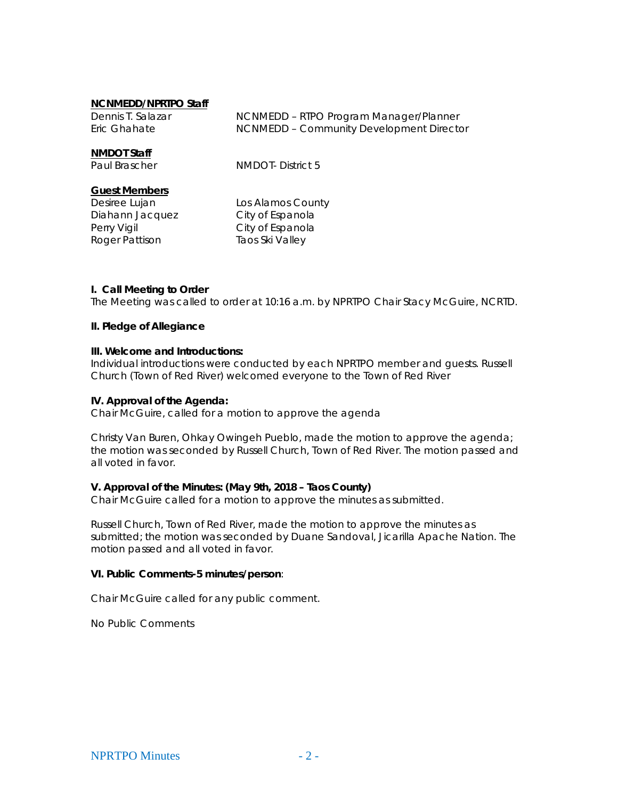#### **NCNMEDD/NPRTPO Staff**

| Dennis T. Salazar | NCNMEDD - RTPO Program Manager/Planner   |
|-------------------|------------------------------------------|
| Eric Ghahate      | NCNMEDD - Community Development Director |

### **NMDOT Staff**

Paul Brascher NMDOT- District 5

#### **Guest Members**

Diahann Jacquez City of Espanola Perry Vigil **City of Espanola** Roger Pattison Taos Ski Valley

Desiree Lujan Los Alamos County

### **I. Call Meeting to Order**

The Meeting was called to order at 10:16 a.m. by NPRTPO Chair Stacy McGuire, NCRTD.

#### **II. Pledge of Allegiance**

### **III. Welcome and Introductions:**

Individual introductions were conducted by each NPRTPO member and guests. Russell Church (Town of Red River) welcomed everyone to the Town of Red River

### **IV. Approval of the Agenda:**

Chair McGuire, called for a motion to approve the agenda

Christy Van Buren, Ohkay Owingeh Pueblo, made the motion to approve the agenda; the motion was seconded by Russell Church, Town of Red River. The motion passed and all voted in favor.

### **V. Approval of the Minutes: (May 9th, 2018 – Taos County)**

Chair McGuire called for a motion to approve the minutes as submitted.

Russell Church, Town of Red River, made the motion to approve the minutes as submitted; the motion was seconded by Duane Sandoval, Jicarilla Apache Nation. The motion passed and all voted in favor.

### **VI. Public Comments-5 minutes/person**:

Chair McGuire called for any public comment.

No Public Comments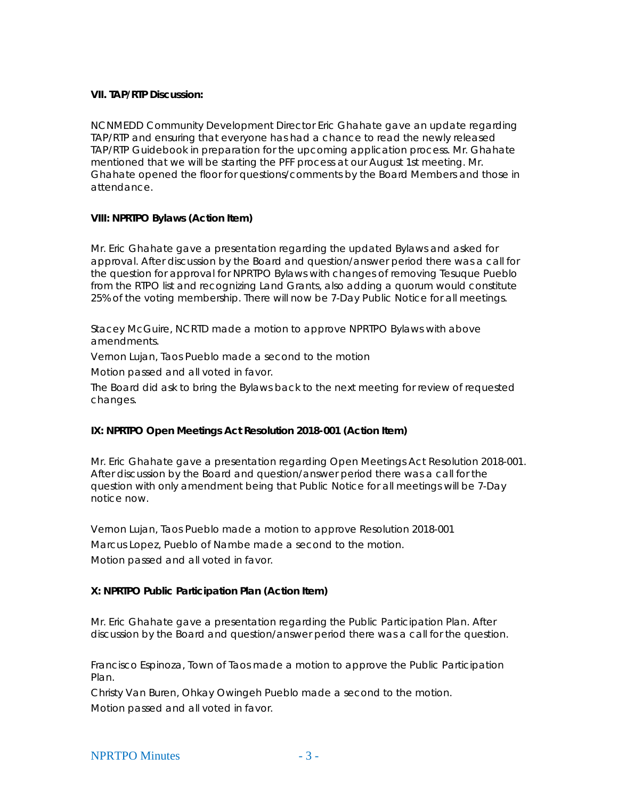### **VII. TAP/RTP Discussion:**

NCNMEDD Community Development Director Eric Ghahate gave an update regarding TAP/RTP and ensuring that everyone has had a chance to read the newly released TAP/RTP Guidebook in preparation for the upcoming application process. Mr. Ghahate mentioned that we will be starting the PFF process at our August 1st meeting. Mr. Ghahate opened the floor for questions/comments by the Board Members and those in attendance.

## **VIII: NPRTPO Bylaws (Action Item)**

Mr. Eric Ghahate gave a presentation regarding the updated Bylaws and asked for approval. After discussion by the Board and question/answer period there was a call for the question for approval for NPRTPO Bylaws with changes of removing Tesuque Pueblo from the RTPO list and recognizing Land Grants, also adding a quorum would constitute 25% of the voting membership. There will now be 7-Day Public Notice for all meetings.

Stacey McGuire, NCRTD made a motion to approve NPRTPO Bylaws with above amendments.

Vernon Lujan, Taos Pueblo made a second to the motion

Motion passed and all voted in favor.

The Board did ask to bring the Bylaws back to the next meeting for review of requested changes.

# **IX: NPRTPO Open Meetings Act Resolution 2018-001 (Action Item)**

Mr. Eric Ghahate gave a presentation regarding Open Meetings Act Resolution 2018-001. After discussion by the Board and question/answer period there was a call for the question with only amendment being that Public Notice for all meetings will be 7-Day notice now.

Vernon Lujan, Taos Pueblo made a motion to approve Resolution 2018-001 Marcus Lopez, Pueblo of Nambe made a second to the motion. Motion passed and all voted in favor.

# **X: NPRTPO Public Participation Plan (Action Item)**

Mr. Eric Ghahate gave a presentation regarding the Public Participation Plan. After discussion by the Board and question/answer period there was a call for the question.

Francisco Espinoza, Town of Taos made a motion to approve the Public Participation Plan.

Christy Van Buren, Ohkay Owingeh Pueblo made a second to the motion.

Motion passed and all voted in favor.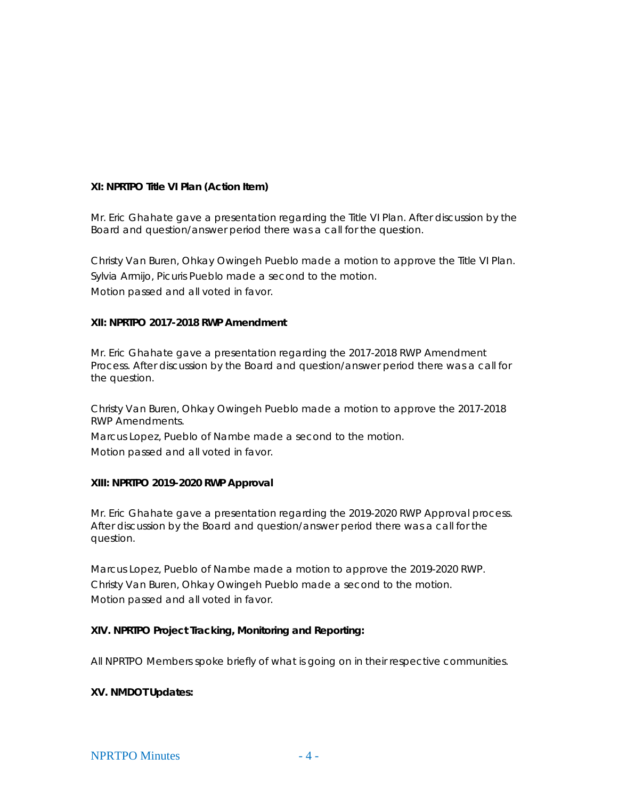### **XI: NPRTPO Title VI Plan (Action Item)**

Mr. Eric Ghahate gave a presentation regarding the Title VI Plan. After discussion by the Board and question/answer period there was a call for the question.

Christy Van Buren, Ohkay Owingeh Pueblo made a motion to approve the Title VI Plan. Sylvia Armijo, Picuris Pueblo made a second to the motion. Motion passed and all voted in favor.

### **XII: NPRTPO 2017-2018 RWP Amendment**

Mr. Eric Ghahate gave a presentation regarding the 2017-2018 RWP Amendment Process. After discussion by the Board and question/answer period there was a call for the question.

Christy Van Buren, Ohkay Owingeh Pueblo made a motion to approve the 2017-2018 RWP Amendments.

Marcus Lopez, Pueblo of Nambe made a second to the motion. Motion passed and all voted in favor.

### **XIII: NPRTPO 2019-2020 RWP Approval**

Mr. Eric Ghahate gave a presentation regarding the 2019-2020 RWP Approval process. After discussion by the Board and question/answer period there was a call for the question.

Marcus Lopez, Pueblo of Nambe made a motion to approve the 2019-2020 RWP. Christy Van Buren, Ohkay Owingeh Pueblo made a second to the motion. Motion passed and all voted in favor.

### **XIV. NPRTPO Project Tracking, Monitoring and Reporting:**

All NPRTPO Members spoke briefly of what is going on in their respective communities.

### **XV. NMDOT Updates:**